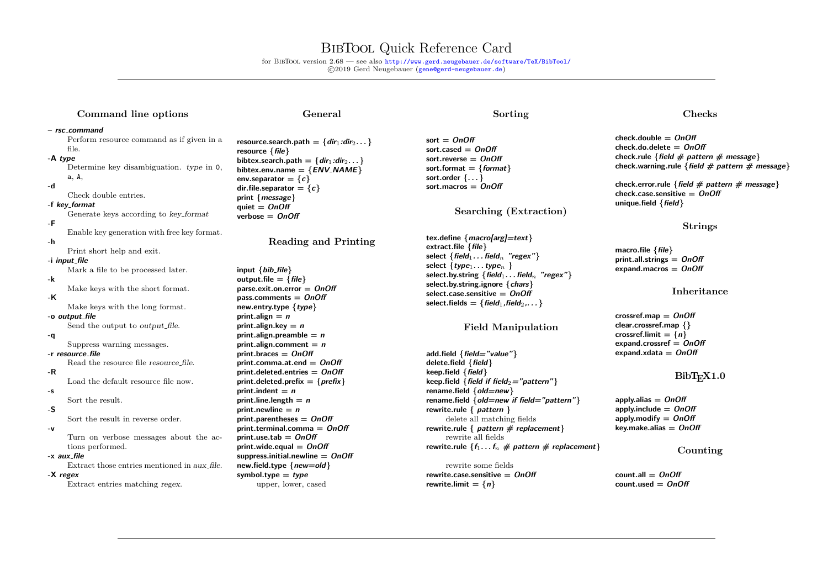## BibTool Quick Reference Card

for BibTool version 2.68 — see also <http://www.gerd.neugebauer.de/software/TeX/BibTool/> c 2019 Gerd Neugebauer ([gene@gerd-neugebauer.de](mailto:gene@gerd-neugebauer.de))

## **Command line options**

#### **General**

#### **– rsc command**

Perform resource command as if given in a file. **-A type** Determine key disambiguation. type in 0, a, A, **-d** Check double entries. **-f key format** Generate keys according to key format **-F** Enable key generation with free key format. **-h** Print short help and exit. **-i input file** Mark a file to be processed later. **-k** Make keys with the short format. **-K** Make keys with the long format. **-o output file** Send the output to *output file*. **-q** Suppress warning messages. **-r resource file** Read the resource file resource file.

**-R** Load the default resource file now.

#### Sort the result.

**-S**

**-s**

Sort the result in reverse order.

#### **-v**

Turn on verbose messages about the actions performed.

#### **-x aux file**

Extract those entries mentioned in aux file.

#### **-X regex**

Extract entries matching regex.

 $r$ esource.search.path =  $\{dir_1:dir_2... \}$ **resource {file} bibtex.search.path =**  $\{dir_1:dir_2 \dots\}$  $bibtext{.env.name} = \{$ **ENV\_NAME** $\}$ **env.separator** =  ${c}$  $dir$ **:***file.separator* =  ${c}$ **print {message}**  $quiet =$   $OnOff$ **verbose = OnOff**

**Reading and Printing**

**input {bib file} output.file** =  $\{$  *file* $\}$ **parse.exit.on.error = OnOff pass.comments = OnOff new.entry.type {type} print.align =**  $n$ **print.align.key = n print.align.preamble = n**  $print$ .align.comment =  $n$ **print.braces = OnOff print.comma.at.end = OnOff print.deleted.entries = OnOff print.deleted.prefix = {prefix} print.indent =**  $n$ **print.line.length**  $= n$ **print.newline = n print.parentheses = OnOff print.terminal.comma = OnOff print.use.tab = OnOff print.wide.equal = OnOff suppress.initial.newline = OnOff new.field.type {new=old} symbol.type = type** upper, lower, cased

## **Sorting**

**sort = OnOff sort.cased = OnOff sort.reverse = OnOff sort.format = {format} sort.order {. . . } sort.macros = OnOff**

**Searching (Extraction)**

**tex.define {macro[arg]=text} extract.file {file}**  $\text{select } \{ \text{field}_1 \dots \text{field}_n \}$  "regex"  $select \{type_1 \ldots type_n\}$ **select.by.string {field**1**. . . field**<sup>n</sup> **"regex"} select.by.string.ignore {chars} select.case.sensitive = OnOff**  $select.fields = {field_1, field_2, \ldots}$ 

#### **Field Manipulation**

**add.field {field="value"} delete.field {field} keep.field {field}**  $\{$  keep.field  $\{$  field if field<sub>2</sub> = "pattern" $\}$ **rename.field {old=new} rename.field {old=new if field="pattern"} rewrite.rule { pattern }** delete all matching fields **rewrite.rule { pattern # replacement}** rewrite all fields **rewrite.rule**  $\{f_1 \dots f_n \neq$  pattern  $\neq$  replacement $\}$ 

rewrite some fields **rewrite.case.sensitive = OnOff rewrite.limit =**  $\{n\}$ 

#### **Checks**

**check.double = OnOff check.do.delete = OnOff check.rule {field # pattern # message} check.warning.rule {field # pattern # message}**

**check.error.rule {field # pattern # message} check.case.sensitive = OnOff unique.field {field}**

#### **Strings**

**macro.file {file} print.all.strings = OnOff expand.macros = OnOff**

#### **Inheritance**

**crossref.map = OnOff clear.crossref.map {}**  $\cos$ **sref.limit =**  $\{n\}$ **expand.crossref = OnOff expand.xdata = OnOff**

## $BibT<sub>F</sub>X1.0$

**apply.alias = OnOff apply.include = OnOff apply.modify = OnOff key.make.alias = OnOff**

#### **Counting**

 $count$ all  $=$   $OnOff$ **count.used = OnOff**